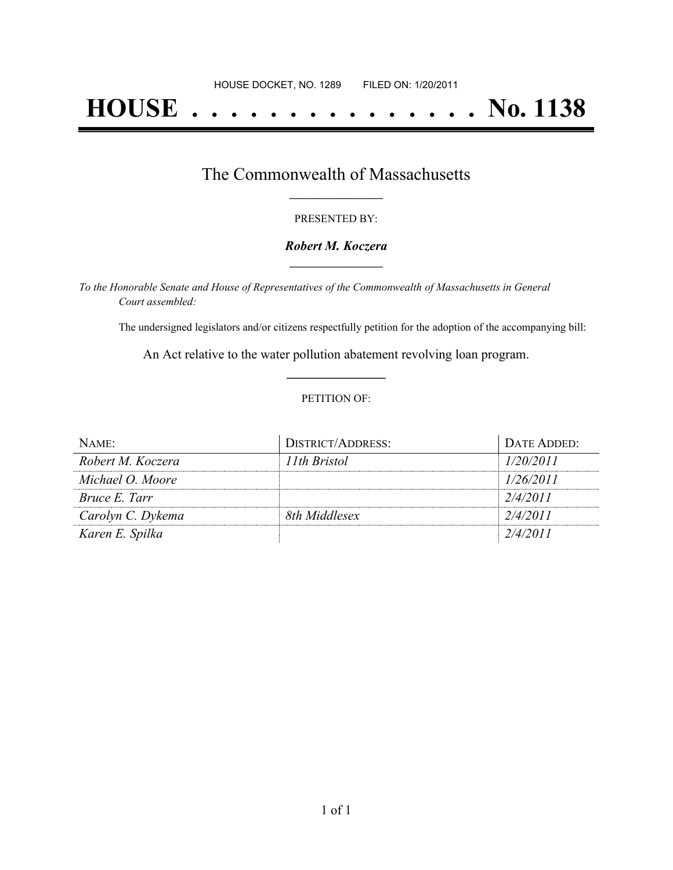# **HOUSE . . . . . . . . . . . . . . . No. 1138**

### The Commonwealth of Massachusetts **\_\_\_\_\_\_\_\_\_\_\_\_\_\_\_\_\_**

#### PRESENTED BY:

#### *Robert M. Koczera* **\_\_\_\_\_\_\_\_\_\_\_\_\_\_\_\_\_**

*To the Honorable Senate and House of Representatives of the Commonwealth of Massachusetts in General Court assembled:*

The undersigned legislators and/or citizens respectfully petition for the adoption of the accompanying bill:

An Act relative to the water pollution abatement revolving loan program. **\_\_\_\_\_\_\_\_\_\_\_\_\_\_\_**

#### PETITION OF:

| $N$ AME:          | DISTRICT/ADDRESS: | DATE ADDED: |
|-------------------|-------------------|-------------|
| Robert M. Koczera | 11th Bristol      | 1/20/2011   |
| Michael O. Moore  |                   | 1/26/2011   |
| Bruce E. Tarr     |                   | 2/4/2011    |
| Carolyn C. Dykema | 8th Middlesex     | 2/4/2011    |
| Karen E. Spilka   |                   | 2/4/2011    |